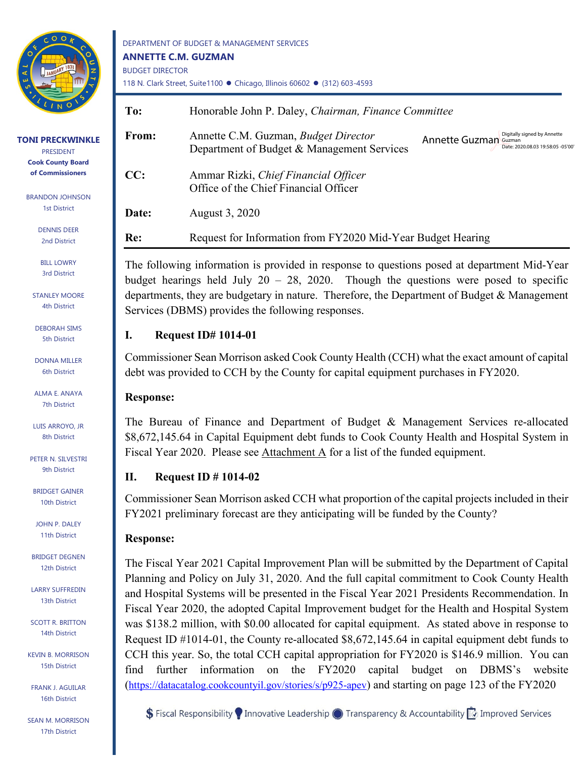

**TONI PRECKWINKLE** PRESIDENT **Cook County Board of Commissioners**

> BRANDON JOHNSON 1st District

> > DENNIS DEER 2nd District

BILL LOWRY 3rd District

STANLEY MOORE 4th District

DEBORAH SIMS 5th District

DONNA MILLER 6th District

ALMA E. ANAYA 7th District

LUIS ARROYO, JR 8th District

PETER N. SILVESTRI 9th District

BRIDGET GAINER 10th District

JOHN P. DALEY 11th District

BRIDGET DEGNEN 12th District

LARRY SUFFREDIN 13th District

SCOTT R. BRITTON 14th District

KEVIN B. MORRISON 15th District

FRANK J. AGUILAR 16th District

SEAN M. MORRISON 17th District

DEPARTMENT OF BUDGET & MANAGEMENT SERVICES **ANNETTE C.M. GUZMAN** BUDGET DIRECTOR 118 N. Clark Street, Suite1100 · Chicago, Illinois 60602 · (312) 603-4593

| To:   | Honorable John P. Daley, Chairman, Finance Committee                                      |                                                                                                  |  |
|-------|-------------------------------------------------------------------------------------------|--------------------------------------------------------------------------------------------------|--|
| From: | Annette C.M. Guzman, <i>Budget Director</i><br>Department of Budget & Management Services | Digitally signed by Annette<br><b>Annette Guzman Guzman</b><br>Date: 2020.08.03 19:58:05 -05'00' |  |
| CC:   | Ammar Rizki, Chief Financial Officer<br>Office of the Chief Financial Officer             |                                                                                                  |  |
| Date: | August 3, 2020                                                                            |                                                                                                  |  |
| Re:   | Request for Information from FY2020 Mid-Year Budget Hearing                               |                                                                                                  |  |

The following information is provided in response to questions posed at department Mid-Year budget hearings held July  $20 - 28$ , 2020. Though the questions were posed to specific departments, they are budgetary in nature. Therefore, the Department of Budget & Management Services (DBMS) provides the following responses.

## **I. Request ID# 1014-01**

Commissioner Sean Morrison asked Cook County Health (CCH) what the exact amount of capital debt was provided to CCH by the County for capital equipment purchases in FY2020.

# **Response:**

The Bureau of Finance and Department of Budget & Management Services re-allocated \$8,672,145.64 in Capital Equipment debt funds to Cook County Health and Hospital System in Fiscal Year 2020. Please see Attachment A for a list of the funded equipment.

# **II. Request ID # 1014-02**

Commissioner Sean Morrison asked CCH what proportion of the capital projects included in their FY2021 preliminary forecast are they anticipating will be funded by the County?

# **Response:**

The Fiscal Year 2021 Capital Improvement Plan will be submitted by the Department of Capital Planning and Policy on July 31, 2020. And the full capital commitment to Cook County Health and Hospital Systems will be presented in the Fiscal Year 2021 Presidents Recommendation. In Fiscal Year 2020, the adopted Capital Improvement budget for the Health and Hospital System was \$138.2 million, with \$0.00 allocated for capital equipment. As stated above in response to Request ID #1014-01, the County re-allocated \$8,672,145.64 in capital equipment debt funds to CCH this year. So, the total CCH capital appropriation for FY2020 is \$146.9 million. You can find further information on the FY2020 capital budget on DBMS's website [\(https://datacatalog.cookcountyil.gov/stories/s/p925-apev\)](https://datacatalog.cookcountyil.gov/stories/s/p925-apev) and starting on page 123 of the FY2020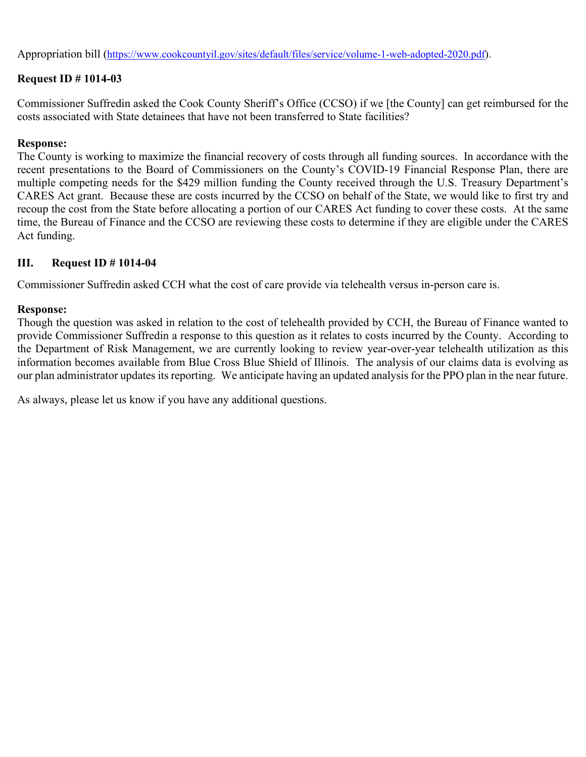Appropriation bill [\(https://www.cookcountyil.gov/sites/default/files/service/volume-1-web-adopted-2020.pdf\)](https://www.cookcountyil.gov/sites/default/files/service/volume-1-web-adopted-2020.pdf).

## **Request ID # 1014-03**

Commissioner Suffredin asked the Cook County Sheriff's Office (CCSO) if we [the County] can get reimbursed for the costs associated with State detainees that have not been transferred to State facilities?

#### **Response:**

The County is working to maximize the financial recovery of costs through all funding sources. In accordance with the recent presentations to the Board of Commissioners on the County's COVID-19 Financial Response Plan, there are multiple competing needs for the \$429 million funding the County received through the U.S. Treasury Department's CARES Act grant. Because these are costs incurred by the CCSO on behalf of the State, we would like to first try and recoup the cost from the State before allocating a portion of our CARES Act funding to cover these costs. At the same time, the Bureau of Finance and the CCSO are reviewing these costs to determine if they are eligible under the CARES Act funding.

#### **III. Request ID # 1014-04**

Commissioner Suffredin asked CCH what the cost of care provide via telehealth versus in-person care is.

#### **Response:**

Though the question was asked in relation to the cost of telehealth provided by CCH, the Bureau of Finance wanted to provide Commissioner Suffredin a response to this question as it relates to costs incurred by the County. According to the Department of Risk Management, we are currently looking to review year-over-year telehealth utilization as this information becomes available from Blue Cross Blue Shield of Illinois. The analysis of our claims data is evolving as our plan administrator updates its reporting. We anticipate having an updated analysis for the PPO plan in the near future.

As always, please let us know if you have any additional questions.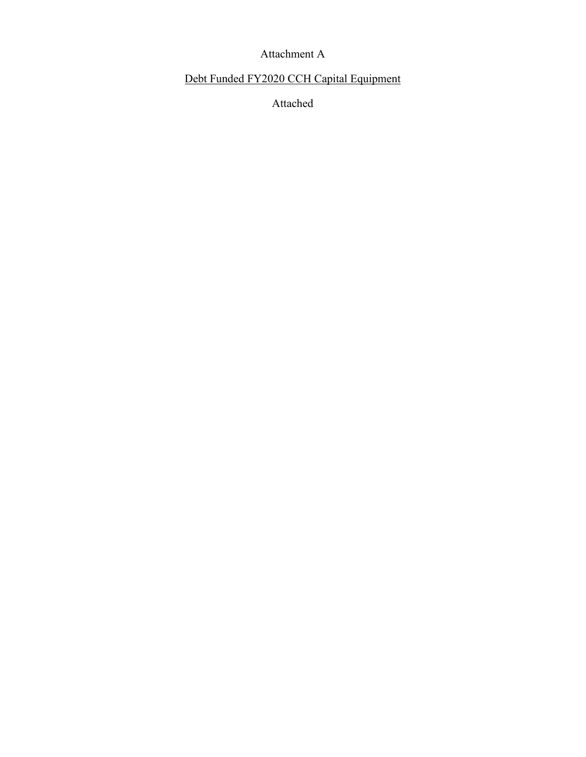# Attachment A

# Debt Funded FY2020 CCH Capital Equipment

Attached